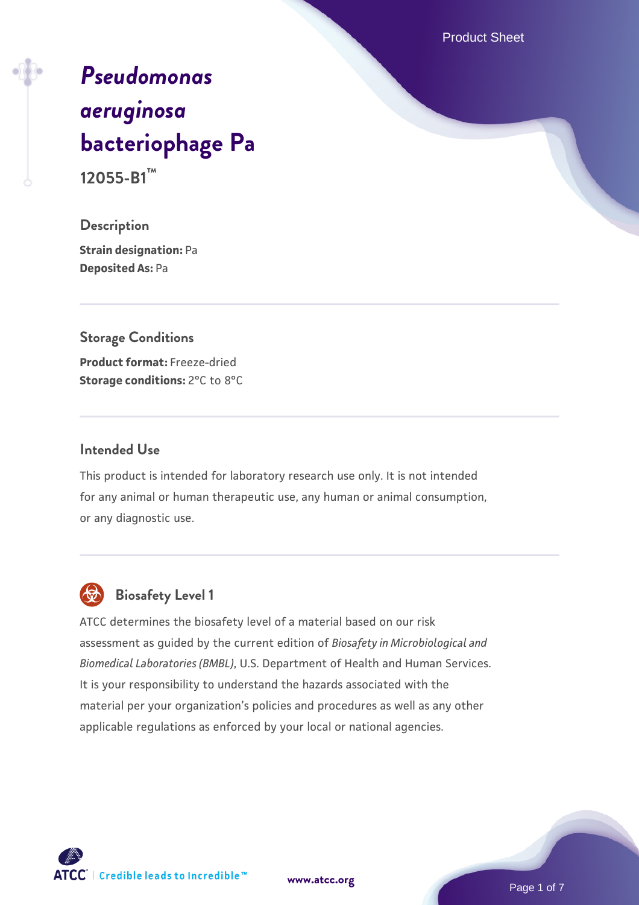Product Sheet

# *[Pseudomonas](https://www.atcc.org/products/12055-b1) [aeruginosa](https://www.atcc.org/products/12055-b1)* **[bacteriophage Pa](https://www.atcc.org/products/12055-b1)**

**12055-B1™**

**Description Strain designation:** Pa **Deposited As:** Pa

## **Storage Conditions**

**Product format:** Freeze-dried **Storage conditions: 2°C to 8°C** 

#### **Intended Use**

This product is intended for laboratory research use only. It is not intended for any animal or human therapeutic use, any human or animal consumption, or any diagnostic use.



#### **Biosafety Level 1**

ATCC determines the biosafety level of a material based on our risk assessment as guided by the current edition of *Biosafety in Microbiological and Biomedical Laboratories (BMBL)*, U.S. Department of Health and Human Services. It is your responsibility to understand the hazards associated with the material per your organization's policies and procedures as well as any other applicable regulations as enforced by your local or national agencies.

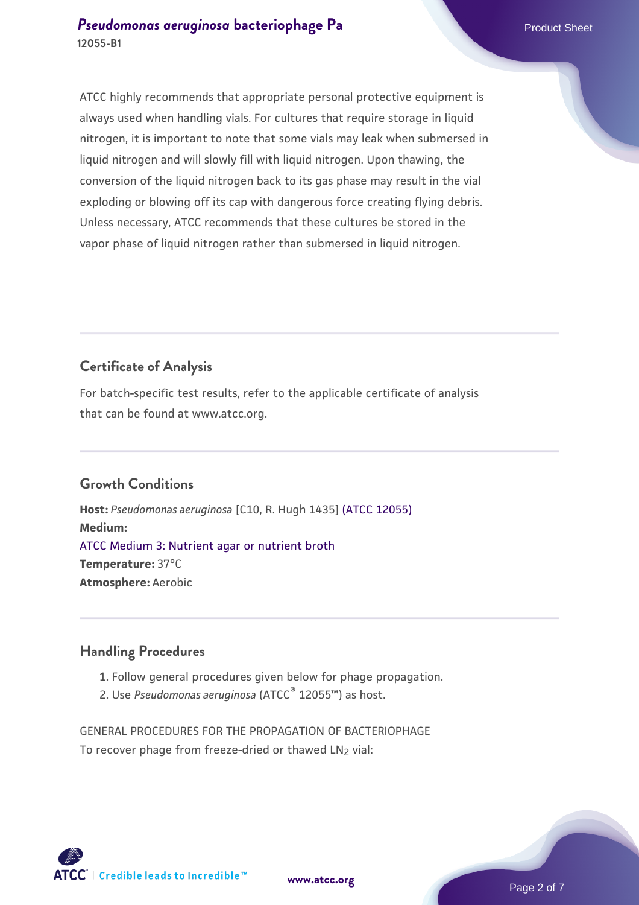ATCC highly recommends that appropriate personal protective equipment is always used when handling vials. For cultures that require storage in liquid nitrogen, it is important to note that some vials may leak when submersed in liquid nitrogen and will slowly fill with liquid nitrogen. Upon thawing, the conversion of the liquid nitrogen back to its gas phase may result in the vial exploding or blowing off its cap with dangerous force creating flying debris. Unless necessary, ATCC recommends that these cultures be stored in the vapor phase of liquid nitrogen rather than submersed in liquid nitrogen.

#### **Certificate of Analysis**

For batch-specific test results, refer to the applicable certificate of analysis that can be found at www.atcc.org.

#### **Growth Conditions**

**Host:** *Pseudomonas aeruginosa* [C10, R. Hugh 1435] [\(ATCC 12055\)](https://www.atcc.org/products/12055) **Medium:**  [ATCC Medium 3: Nutrient agar or nutrient broth](https://www.atcc.org/-/media/product-assets/documents/microbial-media-formulations/3/atcc-medium-3.pdf?rev=7510837507e64d849c62a46b5b2197a1) **Temperature:** 37°C **Atmosphere:** Aerobic

#### **Handling Procedures**

- 1. Follow general procedures given below for phage propagation.
- Use *Pseudomonas aeruginosa* (ATCC® 2. 12055™) as host.

GENERAL PROCEDURES FOR THE PROPAGATION OF BACTERIOPHAGE To recover phage from freeze-dried or thawed LN<sub>2</sub> vial:



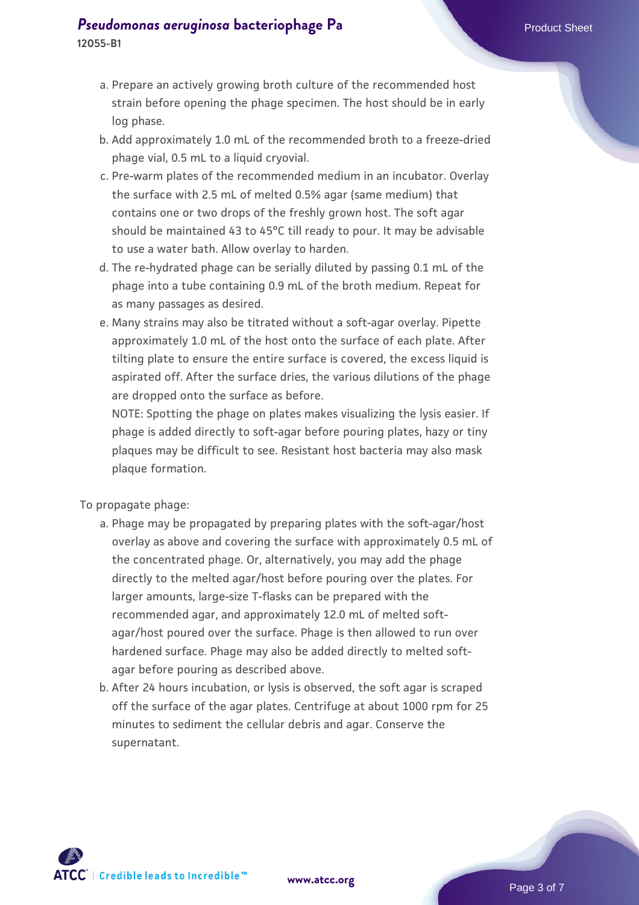## **[Pseudomonas aeruginosa](https://www.atcc.org/products/12055-b1) [bacteriophage Pa](https://www.atcc.org/products/12055-b1)** Product Sheet

- **12055-B1**
	- a. Prepare an actively growing broth culture of the recommended host strain before opening the phage specimen. The host should be in early log phase.
	- b. Add approximately 1.0 mL of the recommended broth to a freeze-dried phage vial, 0.5 mL to a liquid cryovial.
	- c. Pre-warm plates of the recommended medium in an incubator. Overlay the surface with 2.5 mL of melted 0.5% agar (same medium) that contains one or two drops of the freshly grown host. The soft agar should be maintained 43 to 45°C till ready to pour. It may be advisable to use a water bath. Allow overlay to harden.
	- d. The re-hydrated phage can be serially diluted by passing 0.1 mL of the phage into a tube containing 0.9 mL of the broth medium. Repeat for as many passages as desired.
	- Many strains may also be titrated without a soft-agar overlay. Pipette e. approximately 1.0 mL of the host onto the surface of each plate. After tilting plate to ensure the entire surface is covered, the excess liquid is aspirated off. After the surface dries, the various dilutions of the phage are dropped onto the surface as before.

NOTE: Spotting the phage on plates makes visualizing the lysis easier. If phage is added directly to soft-agar before pouring plates, hazy or tiny plaques may be difficult to see. Resistant host bacteria may also mask plaque formation.

To propagate phage:

- a. Phage may be propagated by preparing plates with the soft-agar/host overlay as above and covering the surface with approximately 0.5 mL of the concentrated phage. Or, alternatively, you may add the phage directly to the melted agar/host before pouring over the plates. For larger amounts, large-size T-flasks can be prepared with the recommended agar, and approximately 12.0 mL of melted softagar/host poured over the surface. Phage is then allowed to run over hardened surface. Phage may also be added directly to melted softagar before pouring as described above.
- b. After 24 hours incubation, or lysis is observed, the soft agar is scraped off the surface of the agar plates. Centrifuge at about 1000 rpm for 25 minutes to sediment the cellular debris and agar. Conserve the supernatant.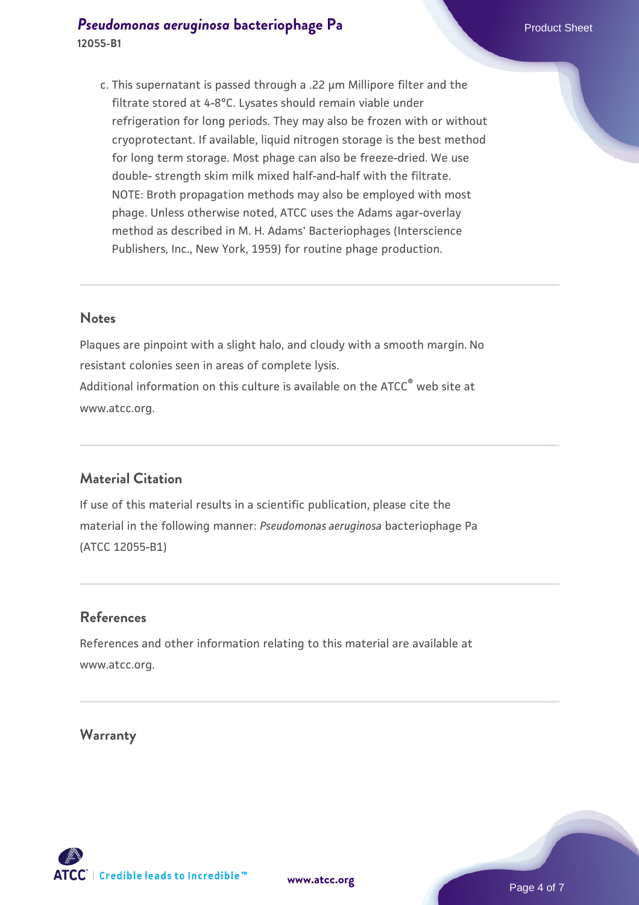This supernatant is passed through a .22 µm Millipore filter and the c. filtrate stored at 4-8°C. Lysates should remain viable under refrigeration for long periods. They may also be frozen with or without cryoprotectant. If available, liquid nitrogen storage is the best method for long term storage. Most phage can also be freeze-dried. We use double- strength skim milk mixed half-and-half with the filtrate. NOTE: Broth propagation methods may also be employed with most phage. Unless otherwise noted, ATCC uses the Adams agar-overlay method as described in M. H. Adams' Bacteriophages (Interscience Publishers, Inc., New York, 1959) for routine phage production.

#### **Notes**

Plaques are pinpoint with a slight halo, and cloudy with a smooth margin. No resistant colonies seen in areas of complete lysis. Additional information on this culture is available on the ATCC<sup>®</sup> web site at www.atcc.org.

#### **Material Citation**

If use of this material results in a scientific publication, please cite the material in the following manner: *Pseudomonas aeruginosa* bacteriophage Pa (ATCC 12055-B1)

#### **References**

References and other information relating to this material are available at www.atcc.org.

#### **Warranty**

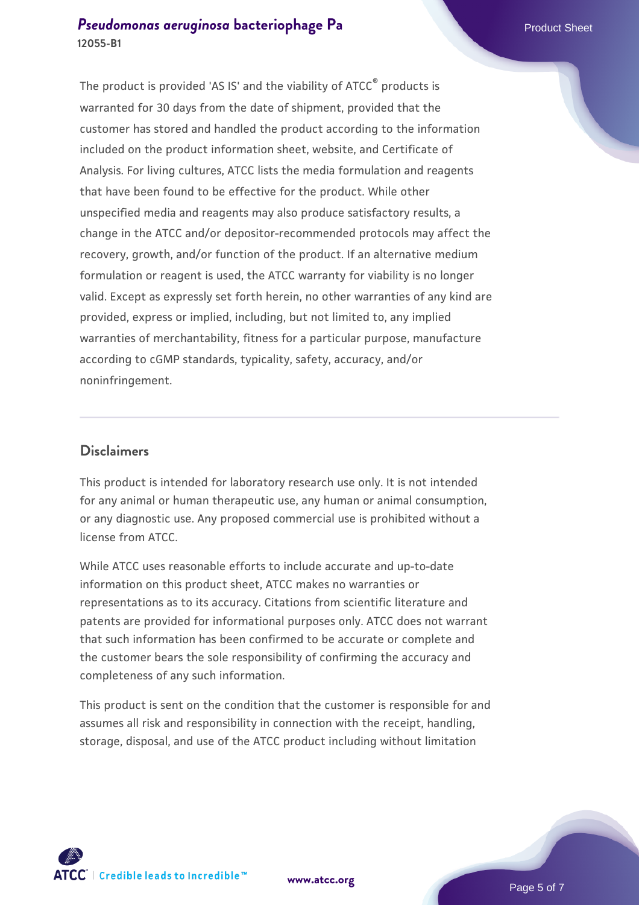#### **[Pseudomonas aeruginosa](https://www.atcc.org/products/12055-b1) [bacteriophage Pa](https://www.atcc.org/products/12055-b1)** Product Sheet **12055-B1**

The product is provided 'AS IS' and the viability of ATCC® products is warranted for 30 days from the date of shipment, provided that the customer has stored and handled the product according to the information included on the product information sheet, website, and Certificate of Analysis. For living cultures, ATCC lists the media formulation and reagents that have been found to be effective for the product. While other unspecified media and reagents may also produce satisfactory results, a change in the ATCC and/or depositor-recommended protocols may affect the recovery, growth, and/or function of the product. If an alternative medium formulation or reagent is used, the ATCC warranty for viability is no longer valid. Except as expressly set forth herein, no other warranties of any kind are provided, express or implied, including, but not limited to, any implied warranties of merchantability, fitness for a particular purpose, manufacture according to cGMP standards, typicality, safety, accuracy, and/or noninfringement.

#### **Disclaimers**

This product is intended for laboratory research use only. It is not intended for any animal or human therapeutic use, any human or animal consumption, or any diagnostic use. Any proposed commercial use is prohibited without a license from ATCC.

While ATCC uses reasonable efforts to include accurate and up-to-date information on this product sheet, ATCC makes no warranties or representations as to its accuracy. Citations from scientific literature and patents are provided for informational purposes only. ATCC does not warrant that such information has been confirmed to be accurate or complete and the customer bears the sole responsibility of confirming the accuracy and completeness of any such information.

This product is sent on the condition that the customer is responsible for and assumes all risk and responsibility in connection with the receipt, handling, storage, disposal, and use of the ATCC product including without limitation



**[www.atcc.org](http://www.atcc.org)**

Page 5 of 7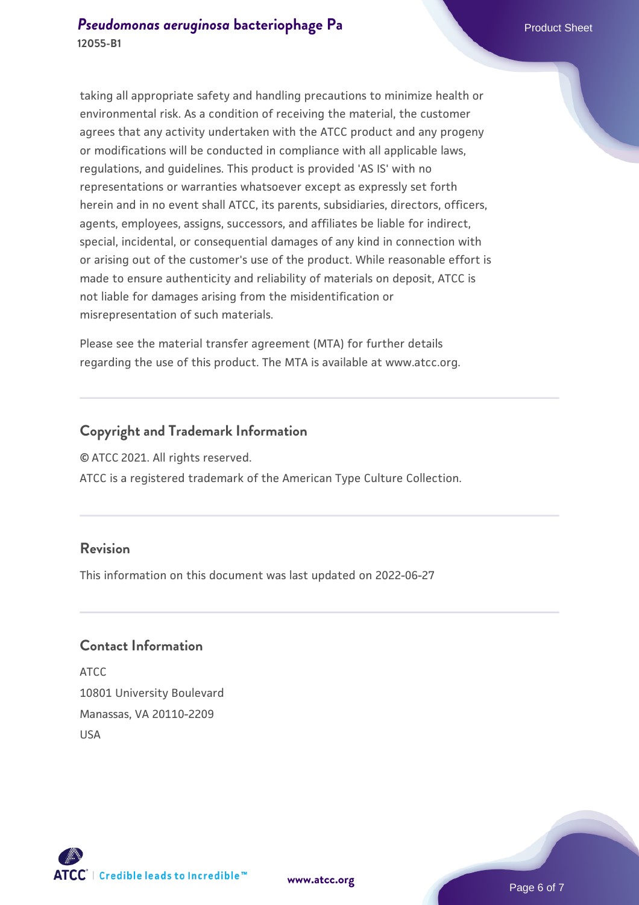taking all appropriate safety and handling precautions to minimize health or environmental risk. As a condition of receiving the material, the customer agrees that any activity undertaken with the ATCC product and any progeny or modifications will be conducted in compliance with all applicable laws, regulations, and guidelines. This product is provided 'AS IS' with no representations or warranties whatsoever except as expressly set forth herein and in no event shall ATCC, its parents, subsidiaries, directors, officers, agents, employees, assigns, successors, and affiliates be liable for indirect, special, incidental, or consequential damages of any kind in connection with or arising out of the customer's use of the product. While reasonable effort is made to ensure authenticity and reliability of materials on deposit, ATCC is not liable for damages arising from the misidentification or misrepresentation of such materials.

Please see the material transfer agreement (MTA) for further details regarding the use of this product. The MTA is available at www.atcc.org.

#### **Copyright and Trademark Information**

© ATCC 2021. All rights reserved.

ATCC is a registered trademark of the American Type Culture Collection.

#### **Revision**

This information on this document was last updated on 2022-06-27

#### **Contact Information**

ATCC 10801 University Boulevard Manassas, VA 20110-2209 USA